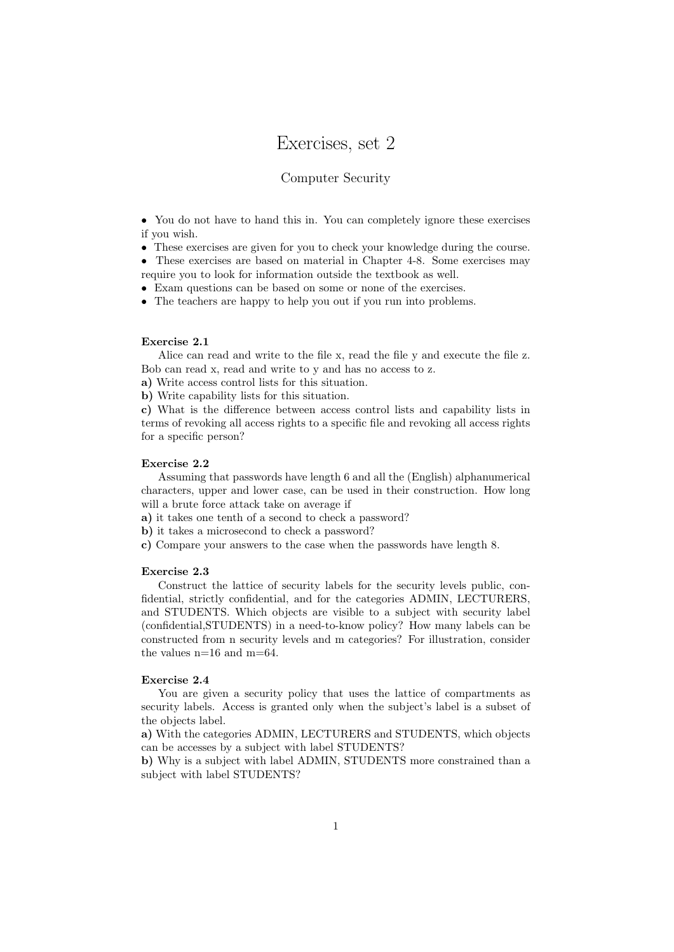# Exercises, set 2

# Computer Security

• You do not have to hand this in. You can completely ignore these exercises if you wish.

• These exercises are given for you to check your knowledge during the course.

• These exercises are based on material in Chapter 4-8. Some exercises may require you to look for information outside the textbook as well.

• Exam questions can be based on some or none of the exercises.

• The teachers are happy to help you out if you run into problems.

#### Exercise 2.1

Alice can read and write to the file x, read the file y and execute the file z. Bob can read x, read and write to y and has no access to z.

a) Write access control lists for this situation.

b) Write capability lists for this situation.

c) What is the difference between access control lists and capability lists in terms of revoking all access rights to a specific file and revoking all access rights for a specific person?

# Exercise 2.2

Assuming that passwords have length 6 and all the (English) alphanumerical characters, upper and lower case, can be used in their construction. How long will a brute force attack take on average if

a) it takes one tenth of a second to check a password?

b) it takes a microsecond to check a password?

c) Compare your answers to the case when the passwords have length 8.

## Exercise 2.3

Construct the lattice of security labels for the security levels public, confidential, strictly confidential, and for the categories ADMIN, LECTURERS, and STUDENTS. Which objects are visible to a subject with security label (confidential,STUDENTS) in a need-to-know policy? How many labels can be constructed from n security levels and m categories? For illustration, consider the values  $n=16$  and  $m=64$ .

#### Exercise 2.4

You are given a security policy that uses the lattice of compartments as security labels. Access is granted only when the subject's label is a subset of the objects label.

a) With the categories ADMIN, LECTURERS and STUDENTS, which objects can be accesses by a subject with label STUDENTS?

b) Why is a subject with label ADMIN, STUDENTS more constrained than a subject with label STUDENTS?